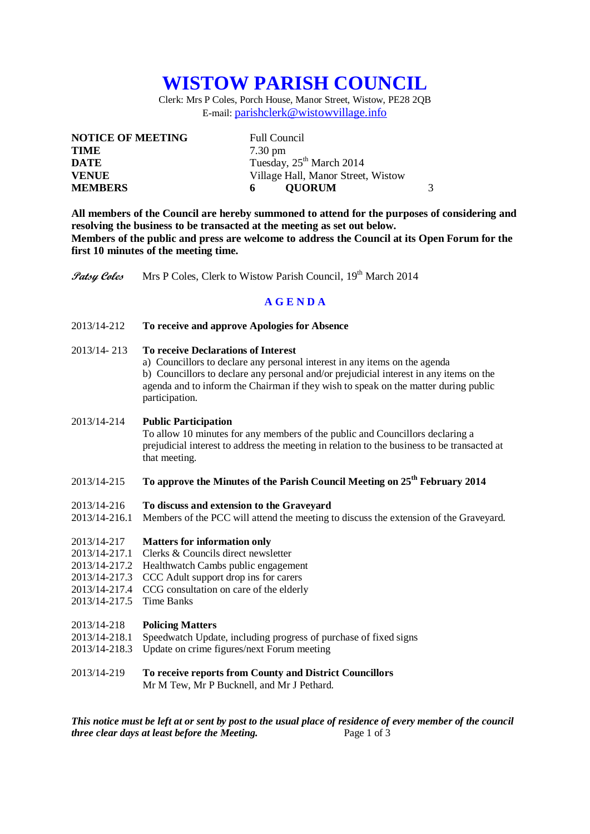# **WISTOW PARISH COUNCIL**

Clerk: Mrs P Coles, Porch House, Manor Street, Wistow, PE28 2QB E-mail: [parishclerk@wistowvillage.info](mailto:parishclerk@wistowvillage.info)

| <b>NOTICE OF MEETING</b> | <b>Full Council</b>                  |
|--------------------------|--------------------------------------|
| <b>TIME</b>              | $7.30 \text{ pm}$                    |
| DATE                     | Tuesday, 25 <sup>th</sup> March 2014 |
| <b>VENUE</b>             | Village Hall, Manor Street, Wistow   |
| <b>MEMBERS</b>           | 3<br><b>OUORUM</b><br>6              |

**All members of the Council are hereby summoned to attend for the purposes of considering and resolving the business to be transacted at the meeting as set out below. Members of the public and press are welcome to address the Council at its Open Forum for the first 10 minutes of the meeting time.**

**Patsy Coles** Mrs P Coles, Clerk to Wistow Parish Council, 19<sup>th</sup> March 2014

## **A G E N D A**

#### 2013/14-212 **To receive and approve Apologies for Absence**

- 2013/14- 213 **To receive Declarations of Interest**
	- a) Councillors to declare any personal interest in any items on the agenda

b) Councillors to declare any personal and/or prejudicial interest in any items on the agenda and to inform the Chairman if they wish to speak on the matter during public participation.

## 2013/14-214 **Public Participation**

To allow 10 minutes for any members of the public and Councillors declaring a prejudicial interest to address the meeting in relation to the business to be transacted at that meeting.

# 2013/14-215 **To approve the Minutes of the Parish Council Meeting on 25th February 2014**

- 2013/14-216 **To discuss and extension to the Graveyard**
- 2013/14-216.1 Members of the PCC will attend the meeting to discuss the extension of the Graveyard.

#### 2013/14-217 **Matters for information only**

- 2013/14-217.1 Clerks & Councils direct newsletter
- 2013/14-217.2 Healthwatch Cambs public engagement
- 2013/14-217.3 CCC Adult support drop ins for carers
- 2013/14-217.4 CCG consultation on care of the elderly
- 2013/14-217.5 Time Banks

#### 2013/14-218 **Policing Matters**

- 2013/14-218.1 Speedwatch Update, including progress of purchase of fixed signs
- 2013/14-218.3 Update on crime figures/next Forum meeting

#### 2013/14-219 **To receive reports from County and District Councillors** Mr M Tew, Mr P Bucknell, and Mr J Pethard.

*This notice must be left at or sent by post to the usual place of residence of every member of the council three clear days at least before the Meeting.* Page 1 of 3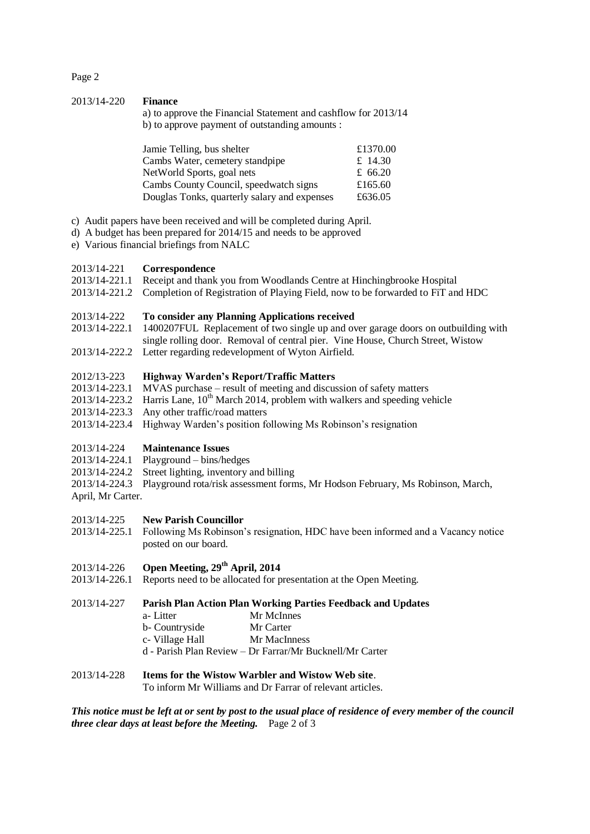Page 2

#### 2013/14-220 **Finance**

a) to approve the Financial Statement and cashflow for 2013/14 b) to approve payment of outstanding amounts :

| Jamie Telling, bus shelter                   | £1370.00 |
|----------------------------------------------|----------|
| Cambs Water, cemetery standpipe              | £ 14.30  |
| NetWorld Sports, goal nets                   | £ 66.20  |
| Cambs County Council, speedwatch signs       | £165.60  |
| Douglas Tonks, quarterly salary and expenses | £636.05  |

- c) Audit papers have been received and will be completed during April.
- d) A budget has been prepared for 2014/15 and needs to be approved
- e) Various financial briefings from NALC

#### 2013/14-221 **Correspondence**

- 2013/14-221.1 Receipt and thank you from Woodlands Centre at Hinchingbrooke Hospital
- 2013/14-221.2 Completion of Registration of Playing Field, now to be forwarded to FiT and HDC

#### 2013/14-222 **To consider any Planning Applications received**

2013/14-222.1 1400207FUL Replacement of two single up and over garage doors on outbuilding with single rolling door. Removal of central pier. Vine House, Church Street, Wistow 2013/14-222.2 Letter regarding redevelopment of Wyton Airfield.

# 2012/13-223 **Highway Warden's Report/Traffic Matters**

- $\overline{MV}$ AS purchase result of meeting and discussion of safety matters
- $2013/14-223.2$  Harris Lane,  $10^{th}$  March 2014, problem with walkers and speeding vehicle
- 2013/14-223.3 Any other traffic/road matters
- 2013/14-223.4 Highway Warden's position following Ms Robinson's resignation

#### 2013/14-224 **Maintenance Issues**

- 2013/14-224.1 Playground bins/hedges
- 2013/14-224.2 Street lighting, inventory and billing
- 2013/14-224.3 Playground rota/risk assessment forms, Mr Hodson February, Ms Robinson, March,
- April, Mr Carter.

#### 2013/14-225 **New Parish Councillor**

2013/14-225.1 Following Ms Robinson's resignation, HDC have been informed and a Vacancy notice posted on our board.

# 2013/14-226 **Open Meeting, 29th April, 2014**

2013/14-226.1 Reports need to be allocated for presentation at the Open Meeting.

## 2013/14-227 **Parish Plan Action Plan Working Parties Feedback and Updates**

- a- Litter Mr McInnes
- b- Countryside Mr Carter
- c- Village Hall Mr MacInness
- d Parish Plan Review Dr Farrar/Mr Bucknell/Mr Carter

#### 2013/14-228 **Items for the Wistow Warbler and Wistow Web site**.

To inform Mr Williams and Dr Farrar of relevant articles.

*This notice must be left at or sent by post to the usual place of residence of every member of the council three clear days at least before the Meeting.* Page 2 of 3